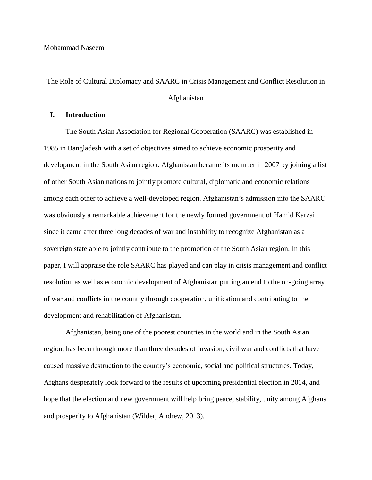The Role of Cultural Diplomacy and SAARC in Crisis Management and Conflict Resolution in

## Afghanistan

# **I. Introduction**

The South Asian Association for Regional Cooperation (SAARC) was established in 1985 in Bangladesh with a set of objectives aimed to achieve economic prosperity and development in the South Asian region. Afghanistan became its member in 2007 by joining a list of other South Asian nations to jointly promote cultural, diplomatic and economic relations among each other to achieve a well-developed region. Afghanistan's admission into the SAARC was obviously a remarkable achievement for the newly formed government of Hamid Karzai since it came after three long decades of war and instability to recognize Afghanistan as a sovereign state able to jointly contribute to the promotion of the South Asian region. In this paper, I will appraise the role SAARC has played and can play in crisis management and conflict resolution as well as economic development of Afghanistan putting an end to the on-going array of war and conflicts in the country through cooperation, unification and contributing to the development and rehabilitation of Afghanistan.

Afghanistan, being one of the poorest countries in the world and in the South Asian region, has been through more than three decades of invasion, civil war and conflicts that have caused massive destruction to the country's economic, social and political structures. Today, Afghans desperately look forward to the results of upcoming presidential election in 2014, and hope that the election and new government will help bring peace, stability, unity among Afghans and prosperity to Afghanistan (Wilder, Andrew, 2013).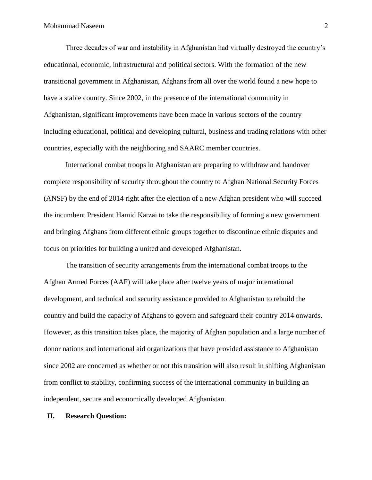Three decades of war and instability in Afghanistan had virtually destroyed the country's educational, economic, infrastructural and political sectors. With the formation of the new transitional government in Afghanistan, Afghans from all over the world found a new hope to have a stable country. Since 2002, in the presence of the international community in Afghanistan, significant improvements have been made in various sectors of the country including educational, political and developing cultural, business and trading relations with other countries, especially with the neighboring and SAARC member countries.

International combat troops in Afghanistan are preparing to withdraw and handover complete responsibility of security throughout the country to Afghan National Security Forces (ANSF) by the end of 2014 right after the election of a new Afghan president who will succeed the incumbent President Hamid Karzai to take the responsibility of forming a new government and bringing Afghans from different ethnic groups together to discontinue ethnic disputes and focus on priorities for building a united and developed Afghanistan.

The transition of security arrangements from the international combat troops to the Afghan Armed Forces (AAF) will take place after twelve years of major international development, and technical and security assistance provided to Afghanistan to rebuild the country and build the capacity of Afghans to govern and safeguard their country 2014 onwards. However, as this transition takes place, the majority of Afghan population and a large number of donor nations and international aid organizations that have provided assistance to Afghanistan since 2002 are concerned as whether or not this transition will also result in shifting Afghanistan from conflict to stability, confirming success of the international community in building an independent, secure and economically developed Afghanistan.

### **II. Research Question:**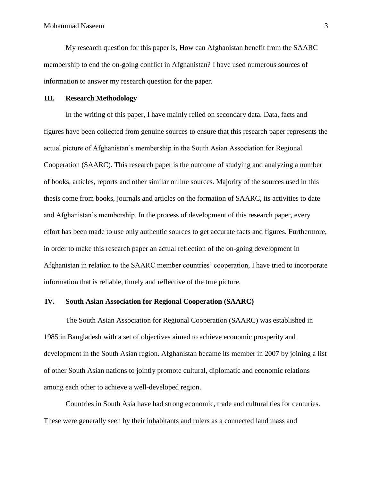My research question for this paper is, How can Afghanistan benefit from the SAARC membership to end the on-going conflict in Afghanistan? I have used numerous sources of information to answer my research question for the paper.

### **III. Research Methodology**

In the writing of this paper, I have mainly relied on secondary data. Data, facts and figures have been collected from genuine sources to ensure that this research paper represents the actual picture of Afghanistan's membership in the South Asian Association for Regional Cooperation (SAARC). This research paper is the outcome of studying and analyzing a number of books, articles, reports and other similar online sources. Majority of the sources used in this thesis come from books, journals and articles on the formation of SAARC, its activities to date and Afghanistan's membership. In the process of development of this research paper, every effort has been made to use only authentic sources to get accurate facts and figures. Furthermore, in order to make this research paper an actual reflection of the on-going development in Afghanistan in relation to the SAARC member countries' cooperation, I have tried to incorporate information that is reliable, timely and reflective of the true picture.

# **IV. South Asian Association for Regional Cooperation (SAARC)**

The South Asian Association for Regional Cooperation (SAARC) was established in 1985 in Bangladesh with a set of objectives aimed to achieve economic prosperity and development in the South Asian region. Afghanistan became its member in 2007 by joining a list of other South Asian nations to jointly promote cultural, diplomatic and economic relations among each other to achieve a well-developed region.

Countries in South Asia have had strong economic, trade and cultural ties for centuries. These were generally seen by their inhabitants and rulers as a connected land mass and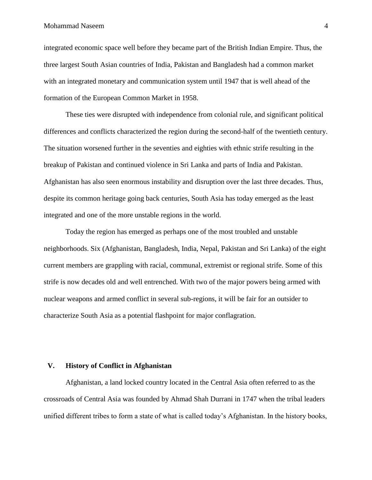integrated economic space well before they became part of the British Indian Empire. Thus, the three largest South Asian countries of India, Pakistan and Bangladesh had a common market with an integrated monetary and communication system until 1947 that is well ahead of the formation of the European Common Market in 1958.

These ties were disrupted with independence from colonial rule, and significant political differences and conflicts characterized the region during the second-half of the twentieth century. The situation worsened further in the seventies and eighties with ethnic strife resulting in the breakup of Pakistan and continued violence in Sri Lanka and parts of India and Pakistan. Afghanistan has also seen enormous instability and disruption over the last three decades. Thus, despite its common heritage going back centuries, South Asia has today emerged as the least integrated and one of the more unstable regions in the world.

Today the region has emerged as perhaps one of the most troubled and unstable neighborhoods. Six (Afghanistan, Bangladesh, India, Nepal, Pakistan and Sri Lanka) of the eight current members are grappling with racial, communal, extremist or regional strife. Some of this strife is now decades old and well entrenched. With two of the major powers being armed with nuclear weapons and armed conflict in several sub-regions, it will be fair for an outsider to characterize South Asia as a potential flashpoint for major conflagration.

### **V. History of Conflict in Afghanistan**

Afghanistan, a land locked country located in the Central Asia often referred to as the crossroads of Central Asia was founded by Ahmad Shah Durrani in 1747 when the tribal leaders unified different tribes to form a state of what is called today's Afghanistan. In the history books,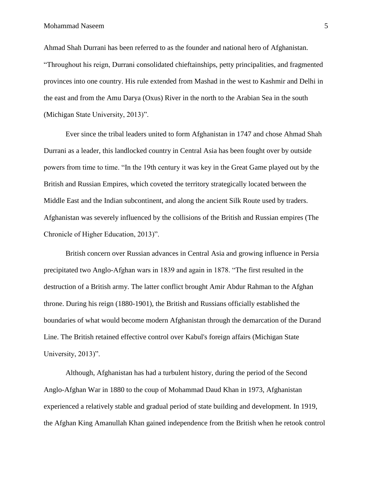Ahmad Shah Durrani has been referred to as the founder and national hero of Afghanistan. "Throughout his reign, Durrani consolidated chieftainships, petty principalities, and fragmented provinces into one country. His rule extended from Mashad in the west to Kashmir and Delhi in the east and from the Amu Darya (Oxus) River in the north to the Arabian Sea in the south (Michigan State University, 2013)".

Ever since the tribal leaders united to form Afghanistan in 1747 and chose Ahmad Shah Durrani as a leader, this landlocked country in Central Asia has been fought over by outside powers from time to time. "In the 19th century it was key in the Great Game played out by the British and Russian Empires, which coveted the territory strategically located between the Middle East and the Indian subcontinent, and along the ancient Silk Route used by traders. Afghanistan was severely influenced by the collisions of the British and Russian empires (The Chronicle of Higher Education, 2013)".

British concern over Russian advances in Central Asia and growing influence in Persia precipitated two Anglo-Afghan wars in 1839 and again in 1878. "The first resulted in the destruction of a British army. The latter conflict brought Amir Abdur Rahman to the Afghan throne. During his reign (1880-1901), the British and Russians officially established the boundaries of what would become modern Afghanistan through the demarcation of the Durand Line. The British retained effective control over Kabul's foreign affairs (Michigan State University, 2013)".

Although, Afghanistan has had a turbulent history, during the period of the Second Anglo-Afghan War in 1880 to the coup of Mohammad Daud Khan in 1973, Afghanistan experienced a relatively stable and gradual period of state building and development. In 1919, the Afghan King Amanullah Khan gained independence from the British when he retook control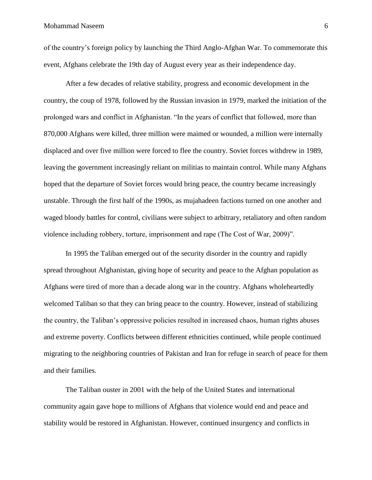of the country's foreign policy by launching the Third Anglo-Afghan War. To commemorate this event, Afghans celebrate the 19th day of August every year as their independence day.

After a few decades of relative stability, progress and economic development in the country, the coup of 1978, followed by the Russian invasion in 1979, marked the initiation of the prolonged wars and conflict in Afghanistan. "In the years of conflict that followed, more than 870,000 Afghans were killed, three million were maimed or wounded, a million were internally displaced and over five million were forced to flee the country. Soviet forces withdrew in 1989, leaving the government increasingly reliant on militias to maintain control. While many Afghans hoped that the departure of Soviet forces would bring peace, the country became increasingly unstable. Through the first half of the 1990s, as mujahadeen factions turned on one another and waged bloody battles for control, civilians were subject to arbitrary, retaliatory and often random violence including robbery, torture, imprisonment and rape (The Cost of War, 2009)".

In 1995 the Taliban emerged out of the security disorder in the country and rapidly spread throughout Afghanistan, giving hope of security and peace to the Afghan population as Afghans were tired of more than a decade along war in the country. Afghans wholeheartedly welcomed Taliban so that they can bring peace to the country. However, instead of stabilizing the country, the Taliban's oppressive policies resulted in increased chaos, human rights abuses and extreme poverty. Conflicts between different ethnicities continued, while people continued migrating to the neighboring countries of Pakistan and Iran for refuge in search of peace for them and their families.

The Taliban ouster in 2001 with the help of the United States and international community again gave hope to millions of Afghans that violence would end and peace and stability would be restored in Afghanistan. However, continued insurgency and conflicts in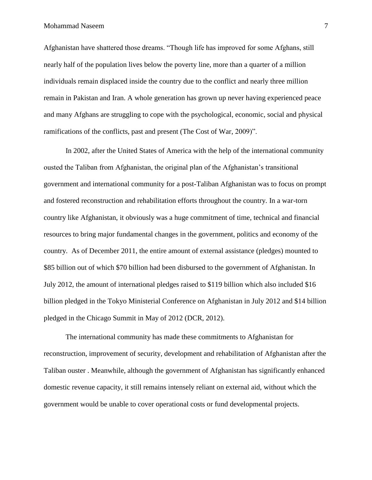Afghanistan have shattered those dreams. "Though life has improved for some Afghans, still nearly half of the population lives below the poverty line, more than a quarter of a million individuals remain displaced inside the country due to the conflict and nearly three million remain in Pakistan and Iran. A whole generation has grown up never having experienced peace and many Afghans are struggling to cope with the psychological, economic, social and physical ramifications of the conflicts, past and present (The Cost of War, 2009)".

In 2002, after the United States of America with the help of the international community ousted the Taliban from Afghanistan, the original plan of the Afghanistan's transitional government and international community for a post-Taliban Afghanistan was to focus on prompt and fostered reconstruction and rehabilitation efforts throughout the country. In a war-torn country like Afghanistan, it obviously was a huge commitment of time, technical and financial resources to bring major fundamental changes in the government, politics and economy of the country. As of December 2011, the entire amount of external assistance (pledges) mounted to \$85 billion out of which \$70 billion had been disbursed to the government of Afghanistan. In July 2012, the amount of international pledges raised to \$119 billion which also included \$16 billion pledged in the Tokyo Ministerial Conference on Afghanistan in July 2012 and \$14 billion pledged in the Chicago Summit in May of 2012 (DCR, 2012).

The international community has made these commitments to Afghanistan for reconstruction, improvement of security, development and rehabilitation of Afghanistan after the Taliban ouster . Meanwhile, although the government of Afghanistan has significantly enhanced domestic revenue capacity, it still remains intensely reliant on external aid, without which the government would be unable to cover operational costs or fund developmental projects.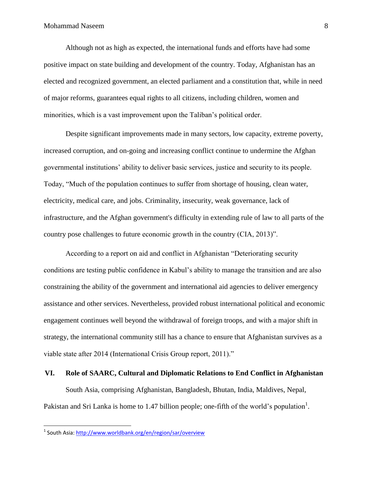Although not as high as expected, the international funds and efforts have had some positive impact on state building and development of the country. Today, Afghanistan has an elected and recognized government, an elected parliament and a constitution that, while in need of major reforms, guarantees equal rights to all citizens, including children, women and minorities, which is a vast improvement upon the Taliban's political order.

Despite significant improvements made in many sectors, low capacity, extreme poverty, increased corruption, and on-going and increasing conflict continue to undermine the Afghan governmental institutions' ability to deliver basic services, justice and security to its people. Today, "Much of the population continues to suffer from shortage of housing, clean water, electricity, medical care, and jobs. Criminality, insecurity, weak governance, lack of infrastructure, and the Afghan government's difficulty in extending rule of law to all parts of the country pose challenges to future economic growth in the country (CIA, 2013)".

According to a report on aid and conflict in Afghanistan "Deteriorating security conditions are testing public confidence in Kabul's ability to manage the transition and are also constraining the ability of the government and international aid agencies to deliver emergency assistance and other services. Nevertheless, provided robust international political and economic engagement continues well beyond the withdrawal of foreign troops, and with a major shift in strategy, the international community still has a chance to ensure that Afghanistan survives as a viable state after 2014 (International Crisis Group report, 2011)."

#### **VI. Role of SAARC, Cultural and Diplomatic Relations to End Conflict in Afghanistan**

South Asia, comprising Afghanistan, Bangladesh, Bhutan, India, Maldives, Nepal, Pakistan and Sri Lanka is home to 1.47 billion people; one-fifth of the world's population<sup>1</sup>.

 $\overline{\phantom{a}}$ 

<sup>&</sup>lt;sup>1</sup> South Asia:<http://www.worldbank.org/en/region/sar/overview>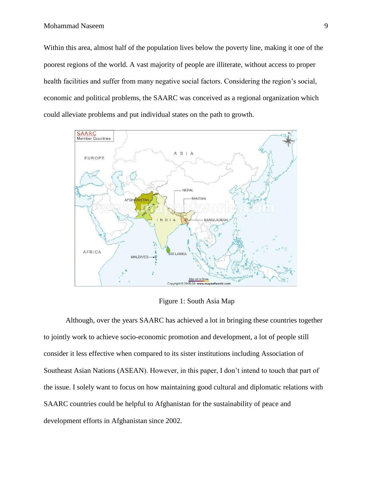Within this area, almost half of the population lives below the poverty line, making it one of the poorest regions of the world. A vast majority of people are illiterate, without access to proper health facilities and suffer from many negative social factors. Considering the region's social, economic and political problems, the SAARC was conceived as a regional organization which could alleviate problems and put individual states on the path to growth.



Figure 1: South Asia Map

Although, over the years SAARC has achieved a lot in bringing these countries together to jointly work to achieve socio-economic promotion and development, a lot of people still consider it less effective when compared to its sister institutions including Association of Southeast Asian Nations (ASEAN). However, in this paper, I don't intend to touch that part of the issue. I solely want to focus on how maintaining good cultural and diplomatic relations with SAARC countries could be helpful to Afghanistan for the sustainability of peace and development efforts in Afghanistan since 2002.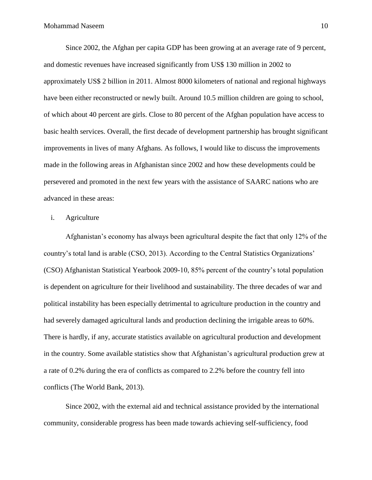Since 2002, the Afghan per capita GDP has been growing at an average rate of 9 percent, and domestic revenues have increased significantly from US\$ 130 million in 2002 to approximately US\$ 2 billion in 2011. Almost 8000 kilometers of national and regional highways have been either reconstructed or newly built. Around 10.5 million children are going to school, of which about 40 percent are girls. Close to 80 percent of the Afghan population have access to basic health services. Overall, the first decade of development partnership has brought significant improvements in lives of many Afghans. As follows, I would like to discuss the improvements made in the following areas in Afghanistan since 2002 and how these developments could be persevered and promoted in the next few years with the assistance of SAARC nations who are advanced in these areas:

## i. Agriculture

Afghanistan's economy has always been agricultural despite the fact that only 12% of the country's total land is arable (CSO, 2013). According to the Central Statistics Organizations' (CSO) Afghanistan Statistical Yearbook 2009-10, 85% percent of the country's total population is dependent on agriculture for their livelihood and sustainability. The three decades of war and political instability has been especially detrimental to agriculture production in the country and had severely damaged agricultural lands and production declining the irrigable areas to 60%. There is hardly, if any, accurate statistics available on agricultural production and development in the country. Some available statistics show that Afghanistan's agricultural production grew at a rate of 0.2% during the era of conflicts as compared to 2.2% before the country fell into conflicts (The World Bank, 2013).

Since 2002, with the external aid and technical assistance provided by the international community, considerable progress has been made towards achieving self-sufficiency, food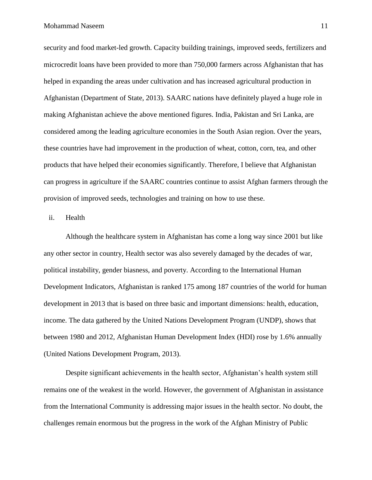security and food market-led growth. Capacity building trainings, improved seeds, fertilizers and microcredit loans have been provided to more than 750,000 farmers across Afghanistan that has helped in expanding the areas under cultivation and has increased agricultural production in Afghanistan (Department of State, 2013). SAARC nations have definitely played a huge role in making Afghanistan achieve the above mentioned figures. India, Pakistan and Sri Lanka, are considered among the leading agriculture economies in the South Asian region. Over the years, these countries have had improvement in the production of wheat, cotton, corn, tea, and other products that have helped their economies significantly. Therefore, I believe that Afghanistan can progress in agriculture if the SAARC countries continue to assist Afghan farmers through the provision of improved seeds, technologies and training on how to use these.

#### ii. Health

Although the healthcare system in Afghanistan has come a long way since 2001 but like any other sector in country, Health sector was also severely damaged by the decades of war, political instability, gender biasness, and poverty. According to the International Human Development Indicators, Afghanistan is ranked 175 among 187 countries of the world for human development in 2013 that is based on three basic and important dimensions: health, education, income. The data gathered by the United Nations Development Program (UNDP), shows that between 1980 and 2012, Afghanistan Human Development Index (HDI) rose by 1.6% annually (United Nations Development Program, 2013).

Despite significant achievements in the health sector, Afghanistan's health system still remains one of the weakest in the world. However, the government of Afghanistan in assistance from the International Community is addressing major issues in the health sector. No doubt, the challenges remain enormous but the progress in the work of the Afghan Ministry of Public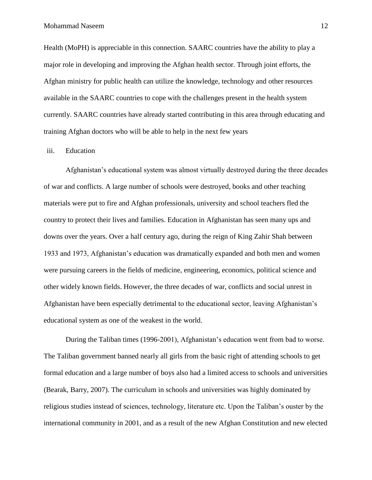Health (MoPH) is appreciable in this connection. SAARC countries have the ability to play a major role in developing and improving the Afghan health sector. Through joint efforts, the Afghan ministry for public health can utilize the knowledge, technology and other resources available in the SAARC countries to cope with the challenges present in the health system currently. SAARC countries have already started contributing in this area through educating and training Afghan doctors who will be able to help in the next few years

## iii. Education

Afghanistan's educational system was almost virtually destroyed during the three decades of war and conflicts. A large number of schools were destroyed, books and other teaching materials were put to fire and Afghan professionals, university and school teachers fled the country to protect their lives and families. Education in Afghanistan has seen many ups and downs over the years. Over a half century ago, during the reign of King Zahir Shah between 1933 and 1973, Afghanistan's education was dramatically expanded and both men and women were pursuing careers in the fields of medicine, engineering, economics, political science and other widely known fields. However, the three decades of war, conflicts and social unrest in Afghanistan have been especially detrimental to the educational sector, leaving Afghanistan's educational system as one of the weakest in the world.

During the Taliban times (1996-2001), Afghanistan's education went from bad to worse. The Taliban government banned nearly all girls from the basic right of attending schools to get formal education and a large number of boys also had a limited access to schools and universities (Bearak, Barry, 2007). The curriculum in schools and universities was highly dominated by religious studies instead of sciences, technology, literature etc. Upon the Taliban's ouster by the international community in 2001, and as a result of the new Afghan Constitution and new elected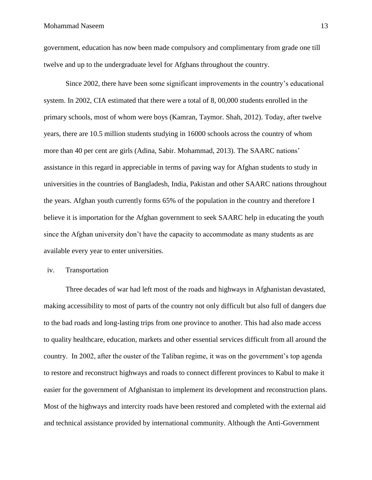government, education has now been made compulsory and complimentary from grade one till twelve and up to the undergraduate level for Afghans throughout the country.

Since 2002, there have been some significant improvements in the country's educational system. In 2002, CIA estimated that there were a total of 8, 00,000 students enrolled in the primary schools, most of whom were boys (Kamran, Taymor. Shah, 2012). Today, after twelve years, there are 10.5 million students studying in 16000 schools across the country of whom more than 40 per cent are girls (Adina, Sabir. Mohammad, 2013). The SAARC nations' assistance in this regard in appreciable in terms of paving way for Afghan students to study in universities in the countries of Bangladesh, India, Pakistan and other SAARC nations throughout the years. Afghan youth currently forms 65% of the population in the country and therefore I believe it is importation for the Afghan government to seek SAARC help in educating the youth since the Afghan university don't have the capacity to accommodate as many students as are available every year to enter universities.

iv. Transportation

Three decades of war had left most of the roads and highways in Afghanistan devastated, making accessibility to most of parts of the country not only difficult but also full of dangers due to the bad roads and long-lasting trips from one province to another. This had also made access to quality healthcare, education, markets and other essential services difficult from all around the country. In 2002, after the ouster of the Taliban regime, it was on the government's top agenda to restore and reconstruct highways and roads to connect different provinces to Kabul to make it easier for the government of Afghanistan to implement its development and reconstruction plans. Most of the highways and intercity roads have been restored and completed with the external aid and technical assistance provided by international community. Although the Anti-Government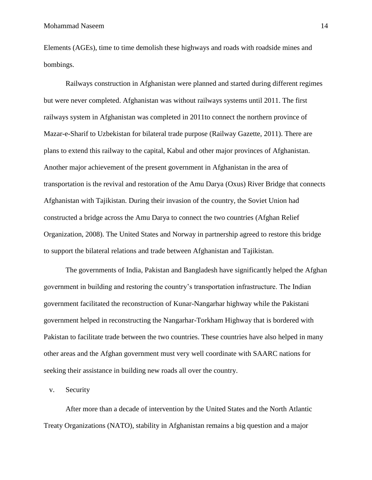Elements (AGEs), time to time demolish these highways and roads with roadside mines and bombings.

Railways construction in Afghanistan were planned and started during different regimes but were never completed. Afghanistan was without railways systems until 2011. The first railways system in Afghanistan was completed in 2011to connect the northern province of Mazar-e-Sharif to Uzbekistan for bilateral trade purpose (Railway Gazette, 2011). There are plans to extend this railway to the capital, Kabul and other major provinces of Afghanistan. Another major achievement of the present government in Afghanistan in the area of transportation is the revival and restoration of the Amu Darya (Oxus) River Bridge that connects Afghanistan with Tajikistan. During their invasion of the country, the Soviet Union had constructed a bridge across the Amu Darya to connect the two countries (Afghan Relief Organization, 2008). The United States and Norway in partnership agreed to restore this bridge to support the bilateral relations and trade between Afghanistan and Tajikistan.

The governments of India, Pakistan and Bangladesh have significantly helped the Afghan government in building and restoring the country's transportation infrastructure. The Indian government facilitated the reconstruction of Kunar-Nangarhar highway while the Pakistani government helped in reconstructing the Nangarhar-Torkham Highway that is bordered with Pakistan to facilitate trade between the two countries. These countries have also helped in many other areas and the Afghan government must very well coordinate with SAARC nations for seeking their assistance in building new roads all over the country.

v. Security

After more than a decade of intervention by the United States and the North Atlantic Treaty Organizations (NATO), stability in Afghanistan remains a big question and a major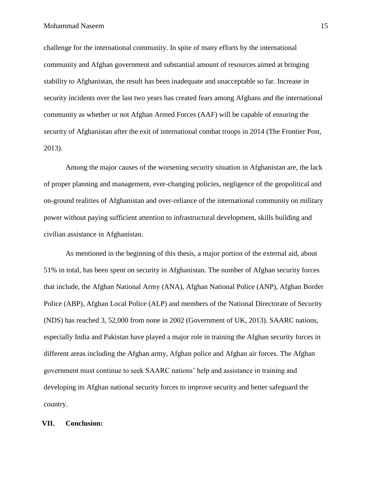challenge for the international community. In spite of many efforts by the international community and Afghan government and substantial amount of resources aimed at bringing stability to Afghanistan, the result has been inadequate and unacceptable so far. Increase in security incidents over the last two years has created fears among Afghans and the international community as whether or not Afghan Armed Forces (AAF) will be capable of ensuring the security of Afghanistan after the exit of international combat troops in 2014 (The Frontier Post, 2013).

Among the major causes of the worsening security situation in Afghanistan are, the lack of proper planning and management, ever-changing policies, negligence of the geopolitical and on-ground realities of Afghanistan and over-reliance of the international community on military power without paying sufficient attention to infrastructural development, skills building and civilian assistance in Afghanistan.

As mentioned in the beginning of this thesis, a major portion of the external aid, about 51% in total, has been spent on security in Afghanistan. The number of Afghan security forces that include, the Afghan National Army (ANA), Afghan National Police (ANP), Afghan Border Police (ABP), Afghan Local Police (ALP) and members of the National Directorate of Security (NDS) has reached 3, 52,000 from none in 2002 (Government of UK, 2013). SAARC nations, especially India and Pakistan have played a major role in training the Afghan security forces in different areas including the Afghan army, Afghan police and Afghan air forces. The Afghan government must continue to seek SAARC nations' help and assistance in training and developing its Afghan national security forces to improve security and better safeguard the country.

# **VII. Conclusion:**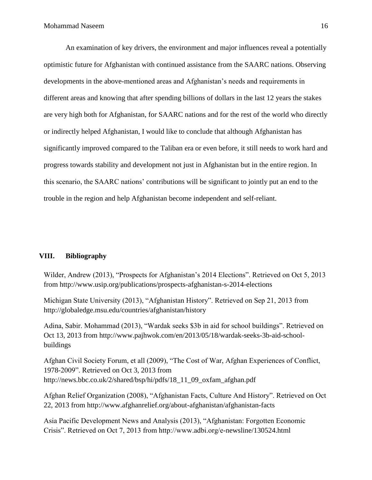An examination of key drivers, the environment and major influences reveal a potentially optimistic future for Afghanistan with continued assistance from the SAARC nations. Observing developments in the above-mentioned areas and Afghanistan's needs and requirements in different areas and knowing that after spending billions of dollars in the last 12 years the stakes are very high both for Afghanistan, for SAARC nations and for the rest of the world who directly or indirectly helped Afghanistan, I would like to conclude that although Afghanistan has significantly improved compared to the Taliban era or even before, it still needs to work hard and progress towards stability and development not just in Afghanistan but in the entire region. In this scenario, the SAARC nations' contributions will be significant to jointly put an end to the trouble in the region and help Afghanistan become independent and self-reliant.

## **VIII. Bibliography**

Wilder, Andrew (2013), "Prospects for Afghanistan's 2014 Elections". Retrieved on Oct 5, 2013 from http://www.usip.org/publications/prospects-afghanistan-s-2014-elections

Michigan State University (2013), "Afghanistan History". Retrieved on Sep 21, 2013 from http://globaledge.msu.edu/countries/afghanistan/history

Adina, Sabir. Mohammad (2013), "Wardak seeks \$3b in aid for school buildings". Retrieved on Oct 13, 2013 from http://www.pajhwok.com/en/2013/05/18/wardak-seeks-3b-aid-schoolbuildings

Afghan Civil Society Forum, et all (2009), "The Cost of War, Afghan Experiences of Conflict, 1978-2009". Retrieved on Oct 3, 2013 from http://news.bbc.co.uk/2/shared/bsp/hi/pdfs/18\_11\_09\_oxfam\_afghan.pdf

Afghan Relief Organization (2008), "Afghanistan Facts, Culture And History". Retrieved on Oct 22, 2013 from http://www.afghanrelief.org/about-afghanistan/afghanistan-facts

Asia Pacific Development News and Analysis (2013), "Afghanistan: Forgotten Economic Crisis". Retrieved on Oct 7, 2013 from http://www.adbi.org/e-newsline/130524.html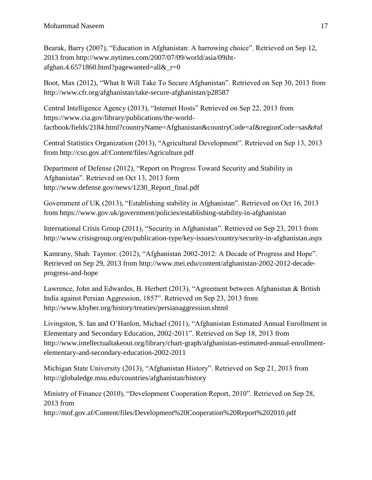Bearak, Barry (2007), "Education in Afghanistan: A harrowing choice". Retrieved on Sep 12, 2013 from http://www.nytimes.com/2007/07/09/world/asia/09ihtafghan.4.6571860.html?pagewanted=all $&r=0$ 

Boot, Max (2012), "What It Will Take To Secure Afghanistan". Retrieved on Sep 30, 2013 from http://www.cfr.org/afghanistan/take-secure-afghanistan/p28587

Central Intelligence Agency (2013), "Internet Hosts" Retrieved on Sep 22, 2013 from https://www.cia.gov/library/publications/the-worldfactbook/fields/2184.html?countryName=Afghanistan&countryCode=af&regionCode=sas&#af

Central Statistics Organization (2013), "Agricultural Development". Retrieved on Sep 13, 2013 from http://cso.gov.af/Content/files/Agriculture.pdf

Department of Defense (2012), "Report on Progress Toward Security and Stability in Afghanistan". Retrieved on Oct 13, 2013 form http://www.defense.gov/news/1230\_Report\_final.pdf

Government of UK (2013), "Establishing stability in Afghanistan". Retrieved on Oct 16, 2013 from https://www.gov.uk/government/policies/establishing-stability-in-afghanistan

International Crisis Group (2011), "Security in Afghanistan". Retrieved on Sep 23, 2013 from http://www.crisisgroup.org/en/publication-type/key-issues/country/security-in-afghanistan.aspx

Kamrany, Shah. Taymor. (2012), "Afghanistan 2002-2012: A Decade of Progress and Hope". Retrieved on Sep 29, 2013 from http://www.mei.edu/content/afghanistan-2002-2012-decadeprogress-and-hope

Lawrence, John and Edwardes, B. Herbert (2013), "Agreement between Afghanistan & British India against Persian Aggression, 1857". Retrieved on Sep 23, 2013 from http://www.khyber.org/history/treaties/persianaggression.shtml

Livingston, S. Ian and O'Hanlon, Michael (2011), "Afghanistan Estimated Annual Enrollment in Elementary and Secondary Education, 2002-2011". Retrieved on Sep 18, 2013 from http://www.intellectualtakeout.org/library/chart-graph/afghanistan-estimated-annual-enrollmentelementary-and-secondary-education-2002-2011

Michigan State University (2013), "Afghanistan History". Retrieved on Sep 21, 2013 from http://globaledge.msu.edu/countries/afghanistan/history

Ministry of Finance (2010), "Development Cooperation Report, 2010". Retrieved on Sep 28, 2013 from http://mof.gov.af/Content/files/Development%20Cooperation%20Report%202010.pdf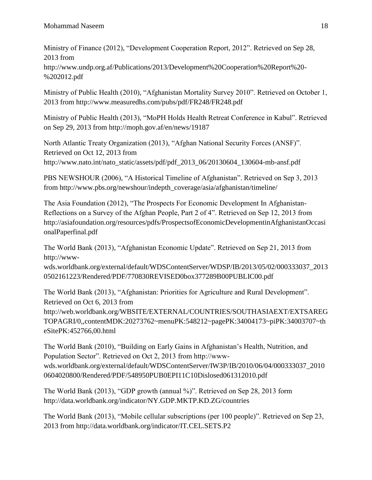Ministry of Finance (2012), "Development Cooperation Report, 2012". Retrieved on Sep 28, 2013 from

http://www.undp.org.af/Publications/2013/Development%20Cooperation%20Report%20- %202012.pdf

Ministry of Public Health (2010), "Afghanistan Mortality Survey 2010". Retrieved on October 1, 2013 from http://www.measuredhs.com/pubs/pdf/FR248/FR248.pdf

Ministry of Public Health (2013), "MoPH Holds Health Retreat Conference in Kabul". Retrieved on Sep 29, 2013 from http://moph.gov.af/en/news/19187

North Atlantic Treaty Organization (2013), "Afghan National Security Forces (ANSF)". Retrieved on Oct 12, 2013 from http://www.nato.int/nato\_static/assets/pdf/pdf\_2013\_06/20130604\_130604-mb-ansf.pdf

PBS NEWSHOUR (2006), "A Historical Timeline of Afghanistan". Retrieved on Sep 3, 2013 from http://www.pbs.org/newshour/indepth\_coverage/asia/afghanistan/timeline/

The Asia Foundation (2012), "The Prospects For Economic Development In Afghanistan-Reflections on a Survey of the Afghan People, Part 2 of 4". Retrieved on Sep 12, 2013 from http://asiafoundation.org/resources/pdfs/ProspectsofEconomicDevelopmentinAfghanistanOccasi onalPaperfinal.pdf

The World Bank (2013), "Afghanistan Economic Update". Retrieved on Sep 21, 2013 from http://www-

wds.worldbank.org/external/default/WDSContentServer/WDSP/IB/2013/05/02/000333037\_2013 0502161223/Rendered/PDF/770830REVISED0box377289B00PUBLIC00.pdf

The World Bank (2013), "Afghanistan: Priorities for Agriculture and Rural Development". Retrieved on Oct 6, 2013 from

http://web.worldbank.org/WBSITE/EXTERNAL/COUNTRIES/SOUTHASIAEXT/EXTSAREG TOPAGRI/0,,contentMDK:20273762~menuPK:548212~pagePK:34004173~piPK:34003707~th eSitePK:452766,00.html

The World Bank (2010), "Building on Early Gains in Afghanistan's Health, Nutrition, and Population Sector". Retrieved on Oct 2, 2013 from http://wwwwds.worldbank.org/external/default/WDSContentServer/IW3P/IB/2010/06/04/000333037\_2010 0604020800/Rendered/PDF/548950PUB0EPI11C10Dislosed061312010.pdf

The World Bank (2013), "GDP growth (annual %)". Retrieved on Sep 28, 2013 form http://data.worldbank.org/indicator/NY.GDP.MKTP.KD.ZG/countries

The World Bank (2013), "Mobile cellular subscriptions (per 100 people)". Retrieved on Sep 23, 2013 from http://data.worldbank.org/indicator/IT.CEL.SETS.P2